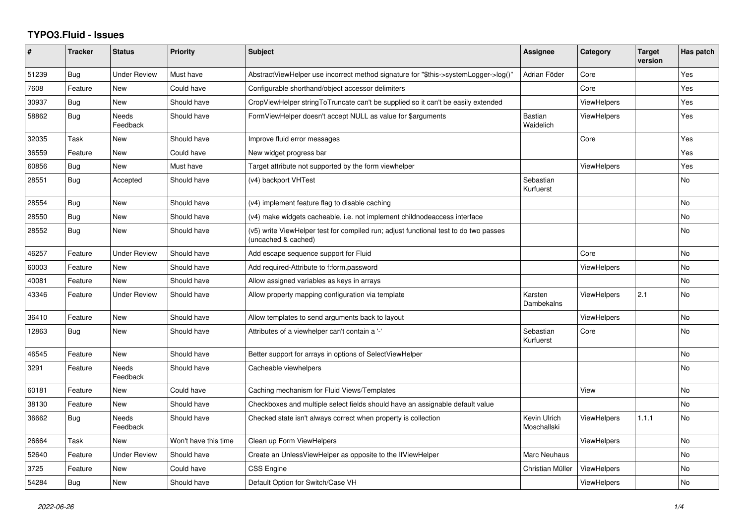## **TYPO3.Fluid - Issues**

| #     | <b>Tracker</b> | <b>Status</b>       | <b>Priority</b>      | <b>Subject</b>                                                                                              | Assignee                    | Category           | <b>Target</b><br>version | Has patch      |
|-------|----------------|---------------------|----------------------|-------------------------------------------------------------------------------------------------------------|-----------------------------|--------------------|--------------------------|----------------|
| 51239 | Bug            | <b>Under Review</b> | Must have            | AbstractViewHelper use incorrect method signature for "\$this->systemLogger->log()"                         | Adrian Föder                | Core               |                          | Yes            |
| 7608  | Feature        | New                 | Could have           | Configurable shorthand/object accessor delimiters                                                           |                             | Core               |                          | Yes            |
| 30937 | Bug            | <b>New</b>          | Should have          | CropViewHelper stringToTruncate can't be supplied so it can't be easily extended                            |                             | <b>ViewHelpers</b> |                          | Yes            |
| 58862 | Bug            | Needs<br>Feedback   | Should have          | FormViewHelper doesn't accept NULL as value for \$arguments                                                 | <b>Bastian</b><br>Waidelich | <b>ViewHelpers</b> |                          | Yes            |
| 32035 | Task           | New                 | Should have          | Improve fluid error messages                                                                                |                             | Core               |                          | Yes            |
| 36559 | Feature        | New                 | Could have           | New widget progress bar                                                                                     |                             |                    |                          | Yes            |
| 60856 | <b>Bug</b>     | <b>New</b>          | Must have            | Target attribute not supported by the form viewhelper                                                       |                             | ViewHelpers        |                          | Yes            |
| 28551 | <b>Bug</b>     | Accepted            | Should have          | (v4) backport VHTest                                                                                        | Sebastian<br>Kurfuerst      |                    |                          | <b>No</b>      |
| 28554 | <b>Bug</b>     | New                 | Should have          | (v4) implement feature flag to disable caching                                                              |                             |                    |                          | No             |
| 28550 | <b>Bug</b>     | <b>New</b>          | Should have          | (v4) make widgets cacheable, i.e. not implement childnodeaccess interface                                   |                             |                    |                          | <b>No</b>      |
| 28552 | Bug            | New                 | Should have          | (v5) write ViewHelper test for compiled run; adjust functional test to do two passes<br>(uncached & cached) |                             |                    |                          | <b>No</b>      |
| 46257 | Feature        | <b>Under Review</b> | Should have          | Add escape sequence support for Fluid                                                                       |                             | Core               |                          | <b>No</b>      |
| 60003 | Feature        | New                 | Should have          | Add required-Attribute to f:form.password                                                                   |                             | ViewHelpers        |                          | <b>No</b>      |
| 40081 | Feature        | <b>New</b>          | Should have          | Allow assigned variables as keys in arrays                                                                  |                             |                    |                          | No             |
| 43346 | Feature        | <b>Under Review</b> | Should have          | Allow property mapping configuration via template                                                           | Karsten<br>Dambekalns       | <b>ViewHelpers</b> | 2.1                      | No             |
| 36410 | Feature        | <b>New</b>          | Should have          | Allow templates to send arguments back to layout                                                            |                             | <b>ViewHelpers</b> |                          | <b>No</b>      |
| 12863 | Bug            | New                 | Should have          | Attributes of a viewhelper can't contain a '-'                                                              | Sebastian<br>Kurfuerst      | Core               |                          | No             |
| 46545 | Feature        | New                 | Should have          | Better support for arrays in options of SelectViewHelper                                                    |                             |                    |                          | No             |
| 3291  | Feature        | Needs<br>Feedback   | Should have          | Cacheable viewhelpers                                                                                       |                             |                    |                          | <b>No</b>      |
| 60181 | Feature        | New                 | Could have           | Caching mechanism for Fluid Views/Templates                                                                 |                             | View               |                          | N <sub>o</sub> |
| 38130 | Feature        | New                 | Should have          | Checkboxes and multiple select fields should have an assignable default value                               |                             |                    |                          | No             |
| 36662 | <b>Bug</b>     | Needs<br>Feedback   | Should have          | Checked state isn't always correct when property is collection                                              | Kevin Ulrich<br>Moschallski | <b>ViewHelpers</b> | 1.1.1                    | <b>No</b>      |
| 26664 | Task           | New                 | Won't have this time | Clean up Form ViewHelpers                                                                                   |                             | <b>ViewHelpers</b> |                          | <b>No</b>      |
| 52640 | Feature        | <b>Under Review</b> | Should have          | Create an UnlessViewHelper as opposite to the IfViewHelper                                                  | Marc Neuhaus                |                    |                          | No.            |
| 3725  | Feature        | New                 | Could have           | <b>CSS Engine</b>                                                                                           | Christian Müller            | <b>ViewHelpers</b> |                          | <b>No</b>      |
| 54284 | Bug            | New                 | Should have          | Default Option for Switch/Case VH                                                                           |                             | <b>ViewHelpers</b> |                          | <b>No</b>      |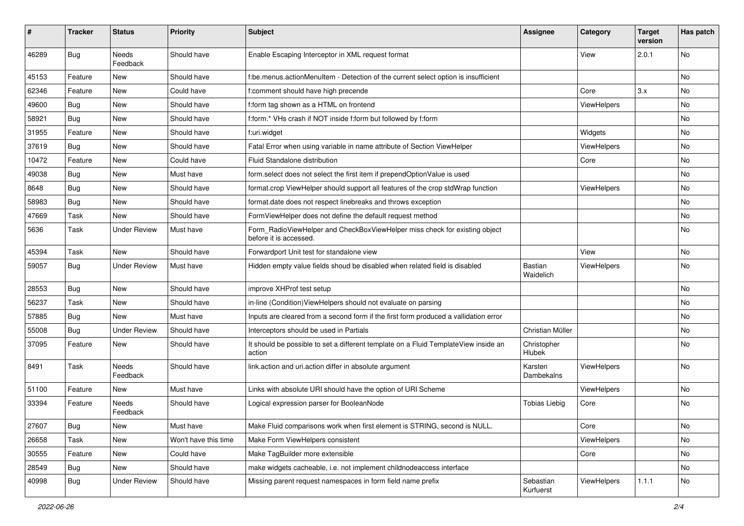| ∦     | <b>Tracker</b> | <b>Status</b>            | <b>Priority</b>      | <b>Subject</b>                                                                                       | <b>Assignee</b>        | Category    | <b>Target</b><br>version | Has patch |
|-------|----------------|--------------------------|----------------------|------------------------------------------------------------------------------------------------------|------------------------|-------------|--------------------------|-----------|
| 46289 | Bug            | <b>Needs</b><br>Feedback | Should have          | Enable Escaping Interceptor in XML request format                                                    |                        | View        | 2.0.1                    | No        |
| 45153 | Feature        | New                      | Should have          | f:be.menus.actionMenuItem - Detection of the current select option is insufficient                   |                        |             |                          | No        |
| 62346 | Feature        | <b>New</b>               | Could have           | f:comment should have high precende                                                                  |                        | Core        | 3.x                      | No        |
| 49600 | Bug            | New                      | Should have          | f:form tag shown as a HTML on frontend                                                               |                        | ViewHelpers |                          | No        |
| 58921 | Bug            | <b>New</b>               | Should have          | f:form.* VHs crash if NOT inside f:form but followed by f:form                                       |                        |             |                          | No.       |
| 31955 | Feature        | New                      | Should have          | f:uri.widget                                                                                         |                        | Widgets     |                          | No        |
| 37619 | Bug            | New                      | Should have          | Fatal Error when using variable in name attribute of Section ViewHelper                              |                        | ViewHelpers |                          | No        |
| 10472 | Feature        | New                      | Could have           | Fluid Standalone distribution                                                                        |                        | Core        |                          | No        |
| 49038 | Bug            | New                      | Must have            | form.select does not select the first item if prependOptionValue is used                             |                        |             |                          | No        |
| 8648  | Bug            | <b>New</b>               | Should have          | format.crop ViewHelper should support all features of the crop stdWrap function                      |                        | ViewHelpers |                          | No.       |
| 58983 | Bug            | New                      | Should have          | format.date does not respect linebreaks and throws exception                                         |                        |             |                          | No        |
| 47669 | Task           | New                      | Should have          | FormViewHelper does not define the default request method                                            |                        |             |                          | No        |
| 5636  | Task           | <b>Under Review</b>      | Must have            | Form RadioViewHelper and CheckBoxViewHelper miss check for existing object<br>before it is accessed. |                        |             |                          | No        |
| 45394 | Task           | <b>New</b>               | Should have          | Forwardport Unit test for standalone view                                                            |                        | View        |                          | No        |
| 59057 | Bug            | <b>Under Review</b>      | Must have            | Hidden empty value fields shoud be disabled when related field is disabled                           | Bastian<br>Waidelich   | ViewHelpers |                          | No        |
| 28553 | Bug            | New                      | Should have          | improve XHProf test setup                                                                            |                        |             |                          | No.       |
| 56237 | Task           | New                      | Should have          | in-line (Condition) View Helpers should not evaluate on parsing                                      |                        |             |                          | No        |
| 57885 | Bug            | New                      | Must have            | Inputs are cleared from a second form if the first form produced a vallidation error                 |                        |             |                          | No        |
| 55008 | Bug            | <b>Under Review</b>      | Should have          | Interceptors should be used in Partials                                                              | Christian Müller       |             |                          | No        |
| 37095 | Feature        | New                      | Should have          | It should be possible to set a different template on a Fluid TemplateView inside an<br>action        | Christopher<br>Hlubek  |             |                          | No        |
| 8491  | Task           | <b>Needs</b><br>Feedback | Should have          | link.action and uri.action differ in absolute argument                                               | Karsten<br>Dambekalns  | ViewHelpers |                          | No        |
| 51100 | Feature        | New                      | Must have            | Links with absolute URI should have the option of URI Scheme                                         |                        | ViewHelpers |                          | No        |
| 33394 | Feature        | Needs<br>Feedback        | Should have          | Logical expression parser for BooleanNode                                                            | <b>Tobias Liebig</b>   | Core        |                          | No        |
| 27607 | Bug            | New                      | Must have            | Make Fluid comparisons work when first element is STRING, second is NULL.                            |                        | Core        |                          | No        |
| 26658 | Task           | New                      | Won't have this time | Make Form ViewHelpers consistent                                                                     |                        | ViewHelpers |                          | No        |
| 30555 | Feature        | New                      | Could have           | Make TagBuilder more extensible                                                                      |                        | Core        |                          | No        |
| 28549 | Bug            | New                      | Should have          | make widgets cacheable, i.e. not implement childnodeaccess interface                                 |                        |             |                          | No        |
| 40998 | <b>Bug</b>     | <b>Under Review</b>      | Should have          | Missing parent request namespaces in form field name prefix                                          | Sebastian<br>Kurfuerst | ViewHelpers | 1.1.1                    | No        |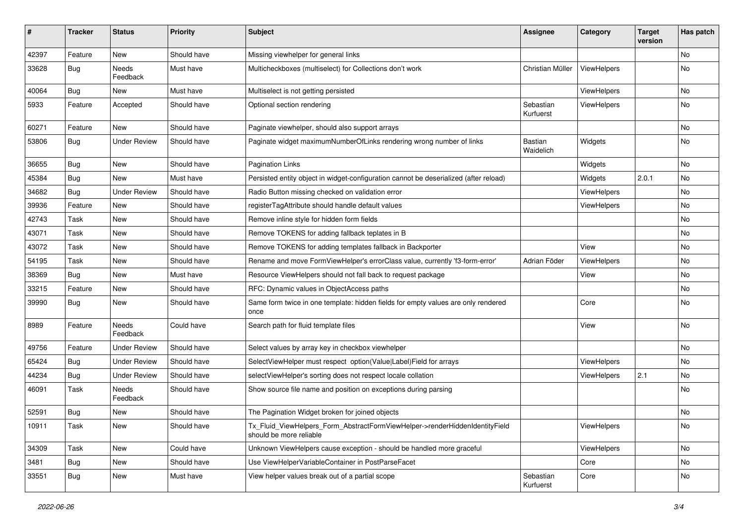| $\pmb{\#}$ | <b>Tracker</b> | <b>Status</b>            | <b>Priority</b> | <b>Subject</b>                                                                                         | <b>Assignee</b>        | Category           | <b>Target</b><br>version | Has patch |
|------------|----------------|--------------------------|-----------------|--------------------------------------------------------------------------------------------------------|------------------------|--------------------|--------------------------|-----------|
| 42397      | Feature        | <b>New</b>               | Should have     | Missing viewhelper for general links                                                                   |                        |                    |                          | <b>No</b> |
| 33628      | <b>Bug</b>     | Needs<br>Feedback        | Must have       | Multicheckboxes (multiselect) for Collections don't work                                               | Christian Müller       | ViewHelpers        |                          | No        |
| 40064      | Bug            | <b>New</b>               | Must have       | Multiselect is not getting persisted                                                                   |                        | ViewHelpers        |                          | No.       |
| 5933       | Feature        | Accepted                 | Should have     | Optional section rendering                                                                             | Sebastian<br>Kurfuerst | ViewHelpers        |                          | No        |
| 60271      | Feature        | <b>New</b>               | Should have     | Paginate viewhelper, should also support arrays                                                        |                        |                    |                          | No        |
| 53806      | Bug            | <b>Under Review</b>      | Should have     | Paginate widget maximumNumberOfLinks rendering wrong number of links                                   | Bastian<br>Waidelich   | Widgets            |                          | No        |
| 36655      | Bug            | New                      | Should have     | Pagination Links                                                                                       |                        | Widgets            |                          | No.       |
| 45384      | Bug            | New                      | Must have       | Persisted entity object in widget-configuration cannot be deserialized (after reload)                  |                        | Widgets            | 2.0.1                    | No        |
| 34682      | Bug            | <b>Under Review</b>      | Should have     | Radio Button missing checked on validation error                                                       |                        | ViewHelpers        |                          | <b>No</b> |
| 39936      | Feature        | New                      | Should have     | registerTagAttribute should handle default values                                                      |                        | <b>ViewHelpers</b> |                          | No        |
| 42743      | Task           | New                      | Should have     | Remove inline style for hidden form fields                                                             |                        |                    |                          | No.       |
| 43071      | Task           | New                      | Should have     | Remove TOKENS for adding fallback teplates in B                                                        |                        |                    |                          | No        |
| 43072      | Task           | New                      | Should have     | Remove TOKENS for adding templates fallback in Backporter                                              |                        | View               |                          | No        |
| 54195      | Task           | New                      | Should have     | Rename and move FormViewHelper's errorClass value, currently 'f3-form-error'                           | Adrian Föder           | ViewHelpers        |                          | No        |
| 38369      | <b>Bug</b>     | New                      | Must have       | Resource ViewHelpers should not fall back to request package                                           |                        | View               |                          | No        |
| 33215      | Feature        | New                      | Should have     | RFC: Dynamic values in ObjectAccess paths                                                              |                        |                    |                          | No        |
| 39990      | <b>Bug</b>     | New                      | Should have     | Same form twice in one template: hidden fields for empty values are only rendered<br>once              |                        | Core               |                          | No        |
| 8989       | Feature        | <b>Needs</b><br>Feedback | Could have      | Search path for fluid template files                                                                   |                        | View               |                          | No        |
| 49756      | Feature        | <b>Under Review</b>      | Should have     | Select values by array key in checkbox viewhelper                                                      |                        |                    |                          | No        |
| 65424      | Bug            | <b>Under Review</b>      | Should have     | SelectViewHelper must respect option(Value Label)Field for arrays                                      |                        | ViewHelpers        |                          | No        |
| 44234      | <b>Bug</b>     | <b>Under Review</b>      | Should have     | selectViewHelper's sorting does not respect locale collation                                           |                        | ViewHelpers        | 2.1                      | No        |
| 46091      | Task           | Needs<br>Feedback        | Should have     | Show source file name and position on exceptions during parsing                                        |                        |                    |                          | No        |
| 52591      | <b>Bug</b>     | New                      | Should have     | The Pagination Widget broken for joined objects                                                        |                        |                    |                          | No        |
| 10911      | Task           | New                      | Should have     | Tx_Fluid_ViewHelpers_Form_AbstractFormViewHelper->renderHiddenIdentityField<br>should be more reliable |                        | ViewHelpers        |                          | No        |
| 34309      | Task           | New                      | Could have      | Unknown ViewHelpers cause exception - should be handled more graceful                                  |                        | ViewHelpers        |                          | No        |
| 3481       | Bug            | New                      | Should have     | Use ViewHelperVariableContainer in PostParseFacet                                                      |                        | Core               |                          | No        |
| 33551      | <b>Bug</b>     | New                      | Must have       | View helper values break out of a partial scope                                                        | Sebastian<br>Kurfuerst | Core               |                          | No        |